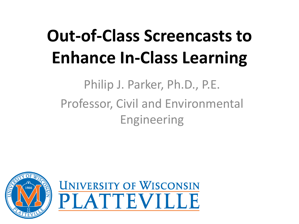## **Out-of-Class Screencasts to Enhance In-Class Learning**

#### Philip J. Parker, Ph.D., P.E. Professor, Civil and Environmental Engineering

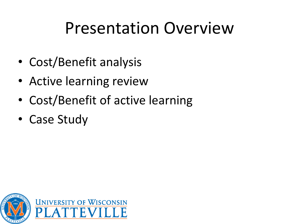## Presentation Overview

- Cost/Benefit analysis
- Active learning review
- Cost/Benefit of active learning
- Case Study

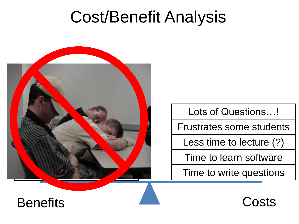## Cost/Benefit Analysis



#### Lots of Questions…!

Frustrates some students

Less time to lecture (?)

Time to learn software

Time to write questions

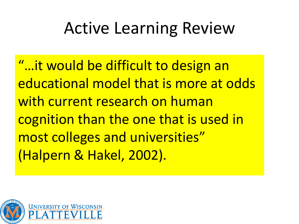## Active Learning Review

"... it would be difficult to design an that is model that is more at od with current re  $\frac{1}{2}$  onition than the one tha most colleges and univers (Halpern & Hakel, 2002). "…it would be difficult to design an educational model that is more at odds with current research on human cognition than the one that is used in most colleges and universities"

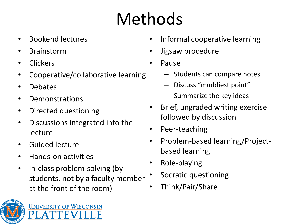## Methods

- Bookend lectures
- **Brainstorm**
- **Clickers**
- Cooperative/collaborative learning
- Debates
- **Demonstrations**
- Directed questioning
- Discussions integrated into the lecture
- Guided lecture
- Hands-on activities
- In-class problem-solving (by students, not by a faculty member at the front of the room)
- **UNIVERSITY OF WISCONSIN**
- Informal cooperative learning
- Jigsaw procedure
- Pause
	- Students can compare notes
	- Discuss "muddiest point"
	- Summarize the key ideas
- Brief, ungraded writing exercise followed by discussion
- Peer-teaching
- Problem-based learning/Projectbased learning
- Role-playing
- Socratic questioning
- Think/Pair/Share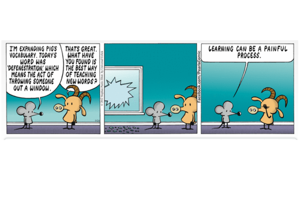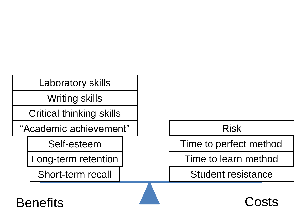Laboratory skills

Writing skills

Critical thinking skills

"Academic achievement"

Self-esteem

Long-term retention

Short-term recall

#### Risk

Time to perfect method

Time to learn method

Student resistance

Benefits **Costs**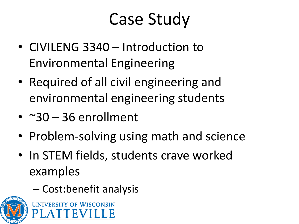## Case Study

- CIVILENG 3340 Introduction to Environmental Engineering
- Required of all civil engineering and environmental engineering students
- ~30 36 enrollment
- Problem-solving using math and science
- In STEM fields, students crave worked examples
	- Cost:benefit analysis

**UNIVERSITY OF WISCONSIN** 

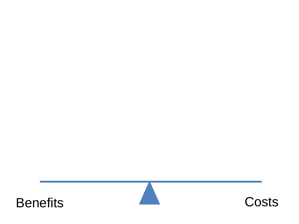



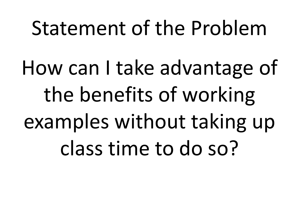# Statement of the Problem

How can I take advantage of the benefits of working examples without taking up class time to do so?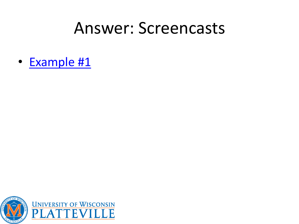#### Answer: Screencasts

• [Example #1](http://www.learncheme.com/page/what-are-screencasts)

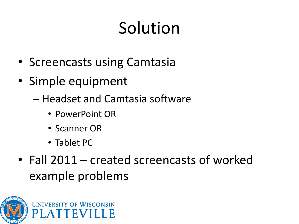## Solution

- Screencasts using Camtasia
- Simple equipment
	- Headset and Camtasia software
		- PowerPoint OR
		- Scanner OR
		- Tablet PC
- Fall 2011 created screencasts of worked example problems

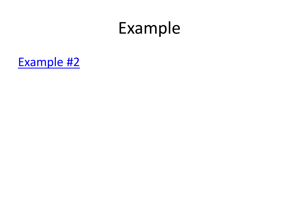## Example

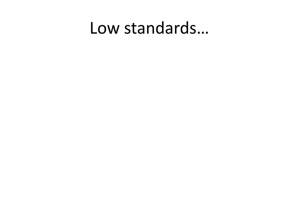### Low standards...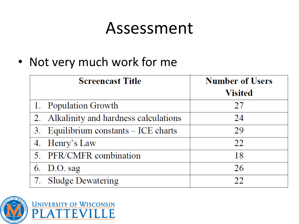## Assessment

• Not very much work for me

E

| <b>Screencast Title</b>                 | <b>Number of Users</b> |  |  |
|-----------------------------------------|------------------------|--|--|
|                                         | <b>Visited</b>         |  |  |
| 1. Population Growth                    | 27                     |  |  |
| 2. Alkalinity and hardness calculations | 24                     |  |  |
| 3. Equilibrium constants $-$ ICE charts | 29                     |  |  |
| 4. Henry's Law                          | 22                     |  |  |
| 5. PFR/CMFR combination                 | 18                     |  |  |
| 6. D.O. sag                             | 26                     |  |  |
| 7. Sludge Dewatering                    | 22                     |  |  |

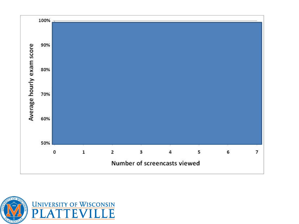

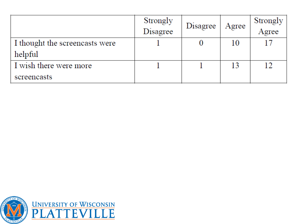|                                | Strongly<br>Disagree | Disagree | Agree | Strongly<br>Agree |
|--------------------------------|----------------------|----------|-------|-------------------|
| I thought the screencasts were |                      |          | 10    |                   |
| helpful                        |                      |          |       |                   |
| I wish there were more         |                      |          | 13    | 12                |
| screencasts                    |                      |          |       |                   |

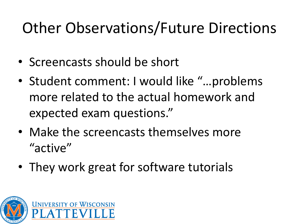## Other Observations/Future Directions

- Screencasts should be short
- Student comment: I would like "…problems more related to the actual homework and expected exam questions."
- Make the screencasts themselves more "active"
- They work great for software tutorials